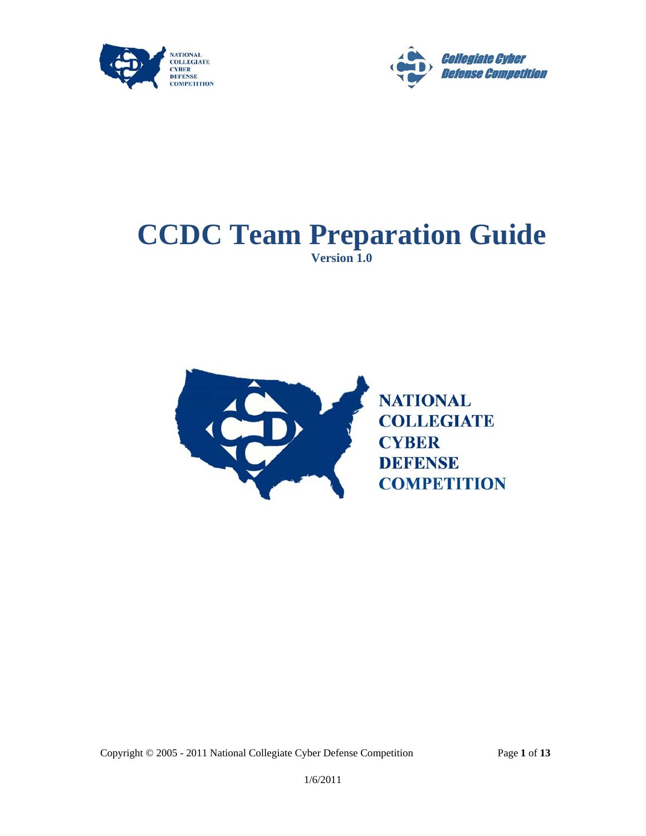



## **CCDC Team Preparation Guide Version 1.0**



Copyright © 2005 - 2011 National Collegiate Cyber Defense Competition Page **1** of **13**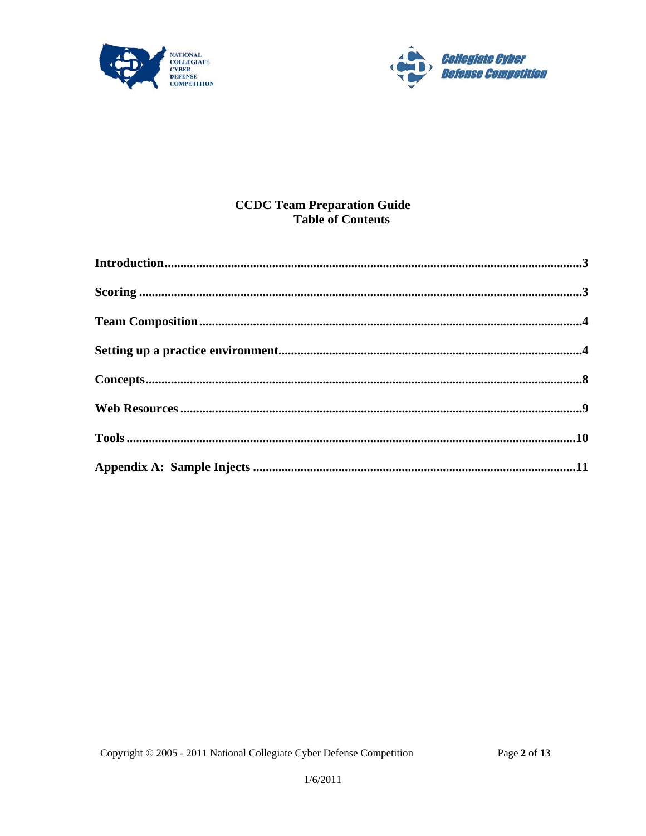



# **CCDC Team Preparation Guide<br>Table of Contents**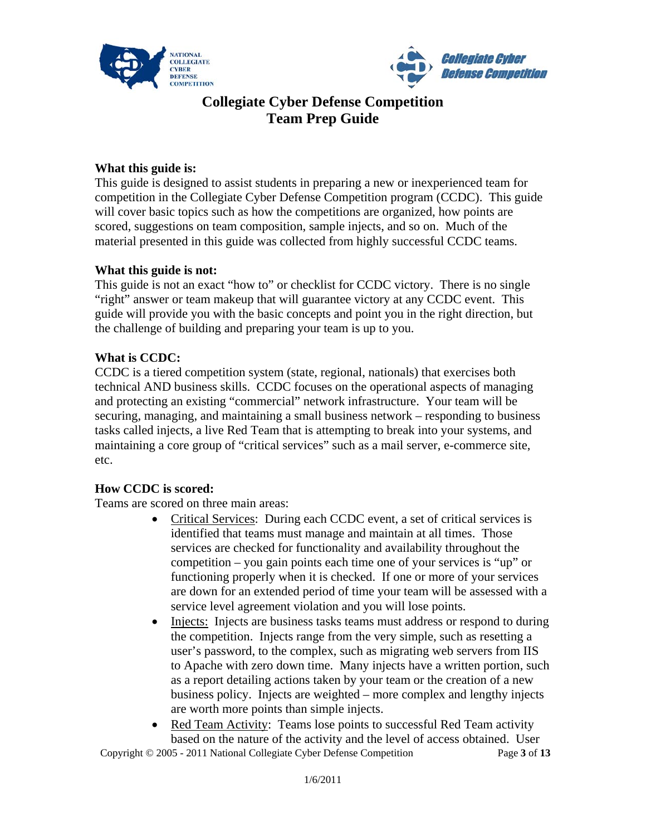



### **Collegiate Cyber Defense Competition Team Prep Guide**

#### **What this guide is:**

This guide is designed to assist students in preparing a new or inexperienced team for competition in the Collegiate Cyber Defense Competition program (CCDC). This guide will cover basic topics such as how the competitions are organized, how points are scored, suggestions on team composition, sample injects, and so on. Much of the material presented in this guide was collected from highly successful CCDC teams.

#### **What this guide is not:**

This guide is not an exact "how to" or checklist for CCDC victory. There is no single "right" answer or team makeup that will guarantee victory at any CCDC event. This guide will provide you with the basic concepts and point you in the right direction, but the challenge of building and preparing your team is up to you.

#### **What is CCDC:**

CCDC is a tiered competition system (state, regional, nationals) that exercises both technical AND business skills. CCDC focuses on the operational aspects of managing and protecting an existing "commercial" network infrastructure. Your team will be securing, managing, and maintaining a small business network – responding to business tasks called injects, a live Red Team that is attempting to break into your systems, and maintaining a core group of "critical services" such as a mail server, e-commerce site, etc.

#### **How CCDC is scored:**

Teams are scored on three main areas:

- Critical Services: During each CCDC event, a set of critical services is identified that teams must manage and maintain at all times. Those services are checked for functionality and availability throughout the competition – you gain points each time one of your services is "up" or functioning properly when it is checked. If one or more of your services are down for an extended period of time your team will be assessed with a service level agreement violation and you will lose points.
- Injects: Injects are business tasks teams must address or respond to during the competition. Injects range from the very simple, such as resetting a user's password, to the complex, such as migrating web servers from IIS to Apache with zero down time. Many injects have a written portion, such as a report detailing actions taken by your team or the creation of a new business policy. Injects are weighted – more complex and lengthy injects are worth more points than simple injects.
- Red Team Activity: Teams lose points to successful Red Team activity based on the nature of the activity and the level of access obtained. User

Copyright © 2005 - 2011 National Collegiate Cyber Defense Competition Page **3** of **13**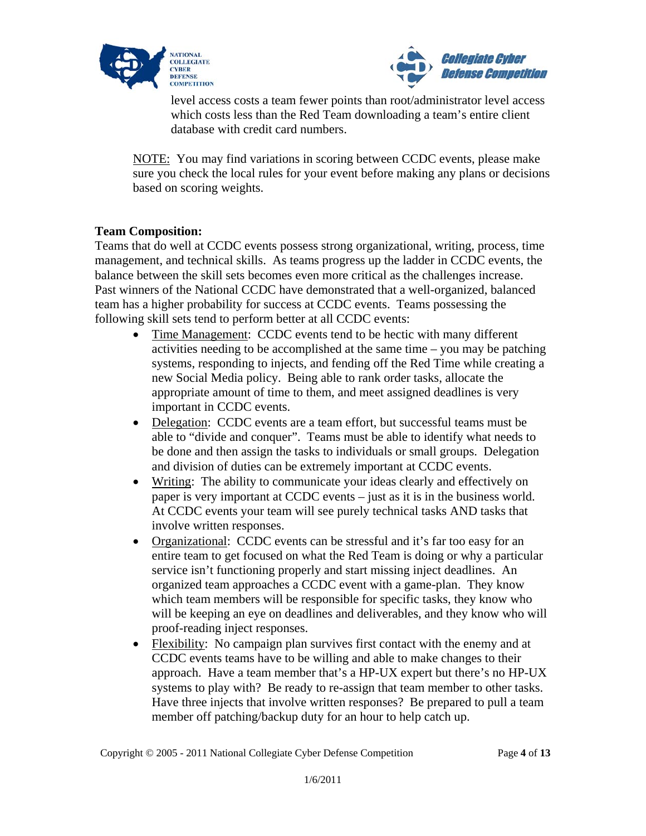



level access costs a team fewer points than root/administrator level access which costs less than the Red Team downloading a team's entire client database with credit card numbers.

NOTE: You may find variations in scoring between CCDC events, please make sure you check the local rules for your event before making any plans or decisions based on scoring weights.

#### **Team Composition:**

Teams that do well at CCDC events possess strong organizational, writing, process, time management, and technical skills. As teams progress up the ladder in CCDC events, the balance between the skill sets becomes even more critical as the challenges increase. Past winners of the National CCDC have demonstrated that a well-organized, balanced team has a higher probability for success at CCDC events. Teams possessing the following skill sets tend to perform better at all CCDC events:

- Time Management: CCDC events tend to be hectic with many different activities needing to be accomplished at the same time – you may be patching systems, responding to injects, and fending off the Red Time while creating a new Social Media policy. Being able to rank order tasks, allocate the appropriate amount of time to them, and meet assigned deadlines is very important in CCDC events.
- Delegation: CCDC events are a team effort, but successful teams must be able to "divide and conquer". Teams must be able to identify what needs to be done and then assign the tasks to individuals or small groups. Delegation and division of duties can be extremely important at CCDC events.
- Writing: The ability to communicate your ideas clearly and effectively on paper is very important at CCDC events – just as it is in the business world. At CCDC events your team will see purely technical tasks AND tasks that involve written responses.
- Organizational: CCDC events can be stressful and it's far too easy for an entire team to get focused on what the Red Team is doing or why a particular service isn't functioning properly and start missing inject deadlines. An organized team approaches a CCDC event with a game-plan. They know which team members will be responsible for specific tasks, they know who will be keeping an eye on deadlines and deliverables, and they know who will proof-reading inject responses.
- Flexibility: No campaign plan survives first contact with the enemy and at CCDC events teams have to be willing and able to make changes to their approach. Have a team member that's a HP-UX expert but there's no HP-UX systems to play with? Be ready to re-assign that team member to other tasks. Have three injects that involve written responses? Be prepared to pull a team member off patching/backup duty for an hour to help catch up.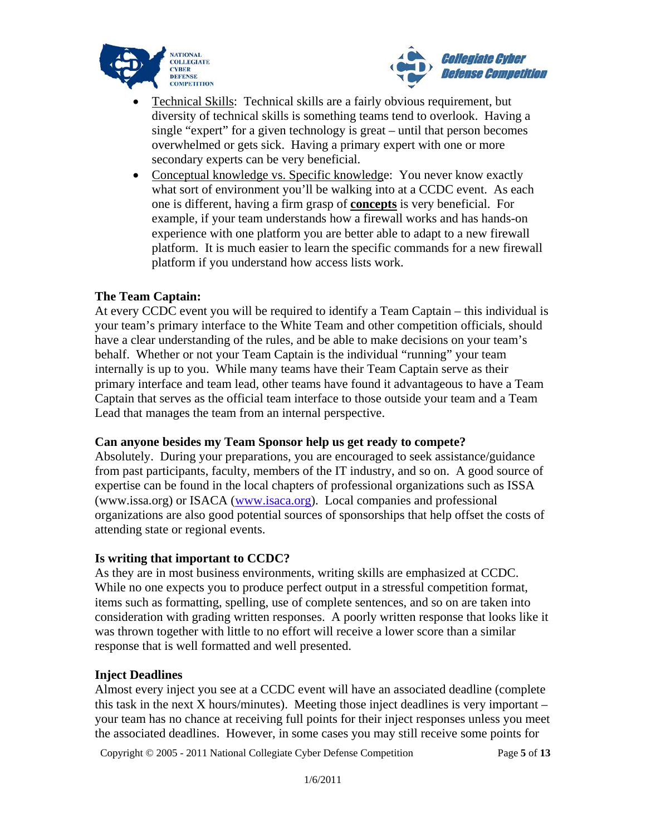



- Technical Skills: Technical skills are a fairly obvious requirement, but diversity of technical skills is something teams tend to overlook. Having a single "expert" for a given technology is great – until that person becomes overwhelmed or gets sick. Having a primary expert with one or more secondary experts can be very beneficial.
- Conceptual knowledge vs. Specific knowledge: You never know exactly what sort of environment you'll be walking into at a CCDC event. As each one is different, having a firm grasp of **concepts** is very beneficial. For example, if your team understands how a firewall works and has hands-on experience with one platform you are better able to adapt to a new firewall platform. It is much easier to learn the specific commands for a new firewall platform if you understand how access lists work.

#### **The Team Captain:**

At every CCDC event you will be required to identify a Team Captain – this individual is your team's primary interface to the White Team and other competition officials, should have a clear understanding of the rules, and be able to make decisions on your team's behalf. Whether or not your Team Captain is the individual "running" your team internally is up to you. While many teams have their Team Captain serve as their primary interface and team lead, other teams have found it advantageous to have a Team Captain that serves as the official team interface to those outside your team and a Team Lead that manages the team from an internal perspective.

#### **Can anyone besides my Team Sponsor help us get ready to compete?**

Absolutely. During your preparations, you are encouraged to seek assistance/guidance from past participants, faculty, members of the IT industry, and so on. A good source of expertise can be found in the local chapters of professional organizations such as ISSA (www.issa.org) or ISACA (www.isaca.org). Local companies and professional organizations are also good potential sources of sponsorships that help offset the costs of attending state or regional events.

#### **Is writing that important to CCDC?**

As they are in most business environments, writing skills are emphasized at CCDC. While no one expects you to produce perfect output in a stressful competition format, items such as formatting, spelling, use of complete sentences, and so on are taken into consideration with grading written responses. A poorly written response that looks like it was thrown together with little to no effort will receive a lower score than a similar response that is well formatted and well presented.

#### **Inject Deadlines**

Almost every inject you see at a CCDC event will have an associated deadline (complete this task in the next X hours/minutes). Meeting those inject deadlines is very important  $$ your team has no chance at receiving full points for their inject responses unless you meet the associated deadlines. However, in some cases you may still receive some points for

Copyright © 2005 - 2011 National Collegiate Cyber Defense Competition Page **5** of **13**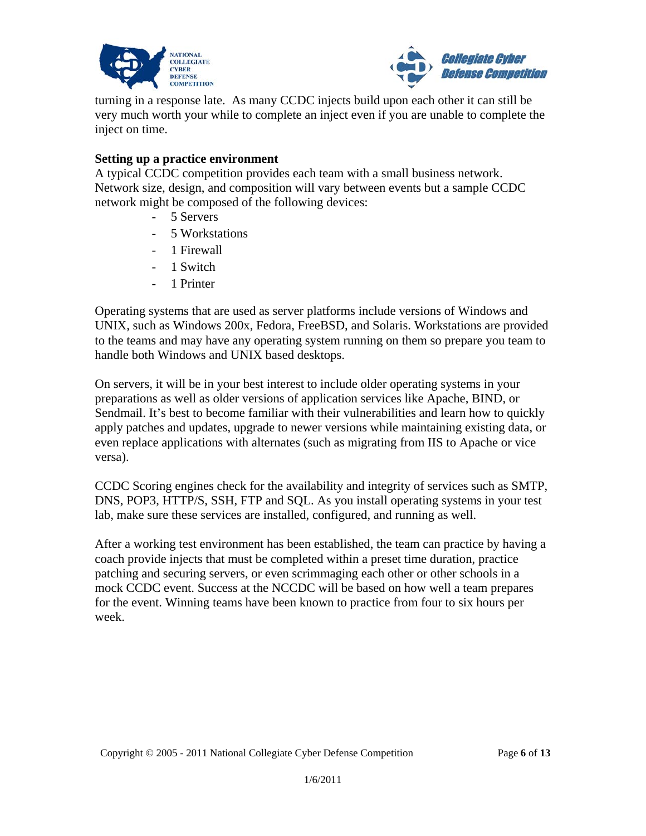



turning in a response late. As many CCDC injects build upon each other it can still be very much worth your while to complete an inject even if you are unable to complete the inject on time.

#### **Setting up a practice environment**

A typical CCDC competition provides each team with a small business network. Network size, design, and composition will vary between events but a sample CCDC network might be composed of the following devices:

- 5 Servers
- 5 Workstations
- 1 Firewall
- 1 Switch
- 1 Printer

Operating systems that are used as server platforms include versions of Windows and UNIX, such as Windows 200x, Fedora, FreeBSD, and Solaris. Workstations are provided to the teams and may have any operating system running on them so prepare you team to handle both Windows and UNIX based desktops.

On servers, it will be in your best interest to include older operating systems in your preparations as well as older versions of application services like Apache, BIND, or Sendmail. It's best to become familiar with their vulnerabilities and learn how to quickly apply patches and updates, upgrade to newer versions while maintaining existing data, or even replace applications with alternates (such as migrating from IIS to Apache or vice versa).

CCDC Scoring engines check for the availability and integrity of services such as SMTP, DNS, POP3, HTTP/S, SSH, FTP and SQL. As you install operating systems in your test lab, make sure these services are installed, configured, and running as well.

After a working test environment has been established, the team can practice by having a coach provide injects that must be completed within a preset time duration, practice patching and securing servers, or even scrimmaging each other or other schools in a mock CCDC event. Success at the NCCDC will be based on how well a team prepares for the event. Winning teams have been known to practice from four to six hours per week.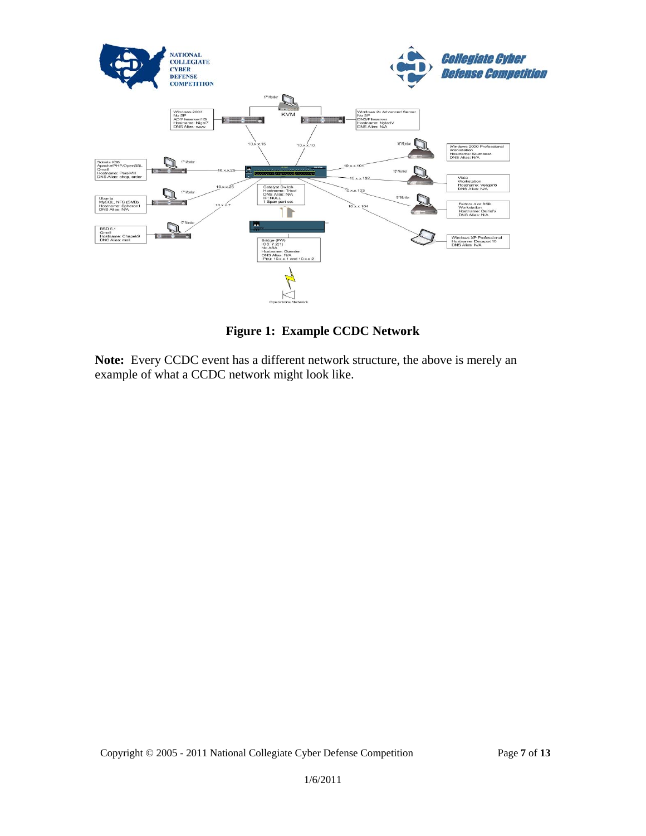

**Figure 1: Example CCDC Network** 

**Note:** Every CCDC event has a different network structure, the above is merely an example of what a CCDC network might look like.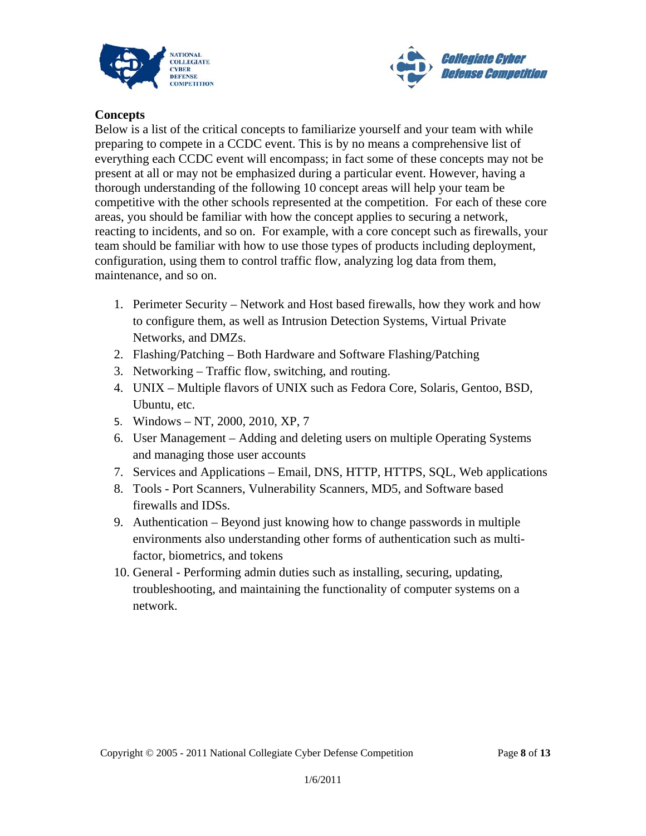



#### **Concepts**

Below is a list of the critical concepts to familiarize yourself and your team with while preparing to compete in a CCDC event. This is by no means a comprehensive list of everything each CCDC event will encompass; in fact some of these concepts may not be present at all or may not be emphasized during a particular event. However, having a thorough understanding of the following 10 concept areas will help your team be competitive with the other schools represented at the competition. For each of these core areas, you should be familiar with how the concept applies to securing a network, reacting to incidents, and so on. For example, with a core concept such as firewalls, your team should be familiar with how to use those types of products including deployment, configuration, using them to control traffic flow, analyzing log data from them, maintenance, and so on.

- 1. Perimeter Security Network and Host based firewalls, how they work and how to configure them, as well as Intrusion Detection Systems, Virtual Private Networks, and DMZs.
- 2. Flashing/Patching Both Hardware and Software Flashing/Patching
- 3. Networking Traffic flow, switching, and routing.
- 4. UNIX Multiple flavors of UNIX such as Fedora Core, Solaris, Gentoo, BSD, Ubuntu, etc.
- 5. Windows NT, 2000, 2010, XP, 7
- 6. User Management Adding and deleting users on multiple Operating Systems and managing those user accounts
- 7. Services and Applications Email, DNS, HTTP, HTTPS, SQL, Web applications
- 8. Tools Port Scanners, Vulnerability Scanners, MD5, and Software based firewalls and IDSs.
- 9. Authentication Beyond just knowing how to change passwords in multiple environments also understanding other forms of authentication such as multifactor, biometrics, and tokens
- 10. General Performing admin duties such as installing, securing, updating, troubleshooting, and maintaining the functionality of computer systems on a network.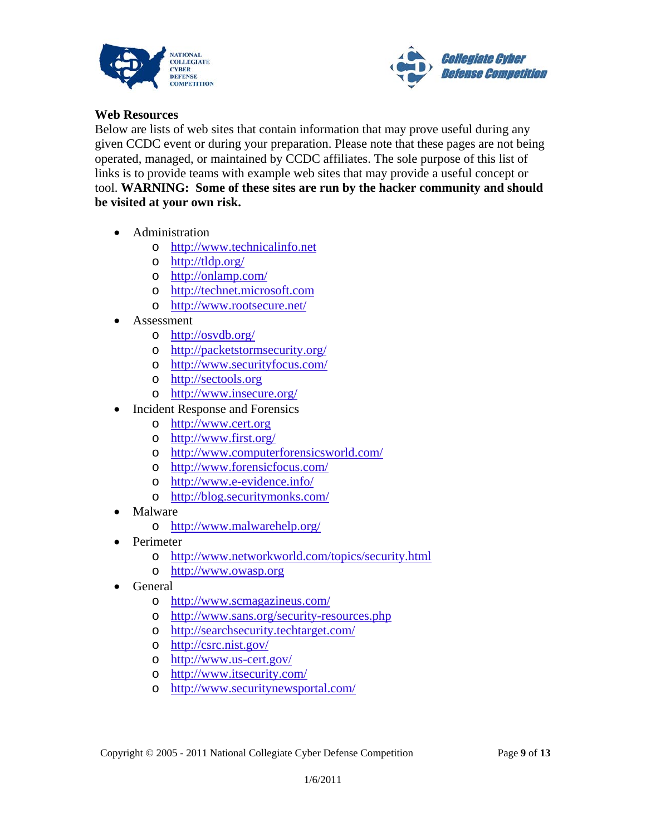



#### **Web Resources**

Below are lists of web sites that contain information that may prove useful during any given CCDC event or during your preparation. Please note that these pages are not being operated, managed, or maintained by CCDC affiliates. The sole purpose of this list of links is to provide teams with example web sites that may provide a useful concept or tool. **WARNING: Some of these sites are run by the hacker community and should be visited at your own risk.** 

- Administration
	- o http://www.technicalinfo.net
	- o http://tldp.org/
	- o http://onlamp.com/
	- o http://technet.microsoft.com
	- o http://www.rootsecure.net/
- Assessment
	- o http://osvdb.org/
	- o http://packetstormsecurity.org/
	- o http://www.securityfocus.com/
	- o http://sectools.org
	- o http://www.insecure.org/
- Incident Response and Forensics
	- o http://www.cert.org
	- o http://www.first.org/
	- o http://www.computerforensicsworld.com/
	- o http://www.forensicfocus.com/
	- o http://www.e-evidence.info/
	- o http://blog.securitymonks.com/
- Malware
	- o http://www.malwarehelp.org/
- Perimeter
	- o http://www.networkworld.com/topics/security.html
	- o http://www.owasp.org
- General
	- o http://www.scmagazineus.com/
	- o http://www.sans.org/security-resources.php
	- o http://searchsecurity.techtarget.com/
	- o http://csrc.nist.gov/
	- o http://www.us-cert.gov/
	- o http://www.itsecurity.com/
	- o http://www.securitynewsportal.com/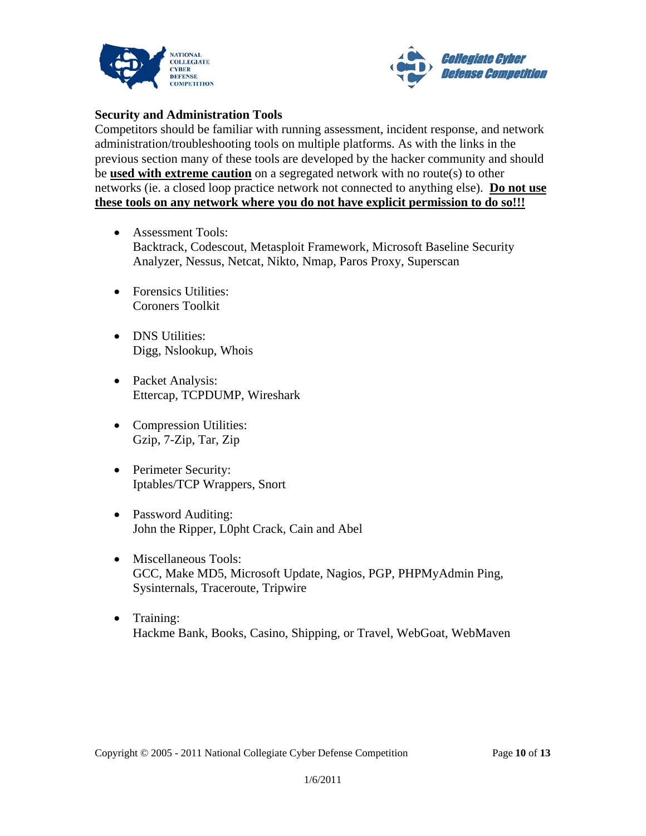



#### **Security and Administration Tools**

Competitors should be familiar with running assessment, incident response, and network administration/troubleshooting tools on multiple platforms. As with the links in the previous section many of these tools are developed by the hacker community and should be **used with extreme caution** on a segregated network with no route(s) to other networks (ie. a closed loop practice network not connected to anything else). **Do not use these tools on any network where you do not have explicit permission to do so!!!**

- Assessment Tools: Backtrack, Codescout, Metasploit Framework, Microsoft Baseline Security Analyzer, Nessus, Netcat, Nikto, Nmap, Paros Proxy, Superscan
- Forensics Utilities: Coroners Toolkit
- DNS Utilities: Digg, Nslookup, Whois
- Packet Analysis: Ettercap, TCPDUMP, Wireshark
- Compression Utilities: Gzip, 7-Zip, Tar, Zip
- Perimeter Security: Iptables/TCP Wrappers, Snort
- Password Auditing: John the Ripper, L0pht Crack, Cain and Abel
- Miscellaneous Tools: GCC, Make MD5, Microsoft Update, Nagios, PGP, PHPMyAdmin Ping, Sysinternals, Traceroute, Tripwire
- Training: Hackme Bank, Books, Casino, Shipping, or Travel, WebGoat, WebMaven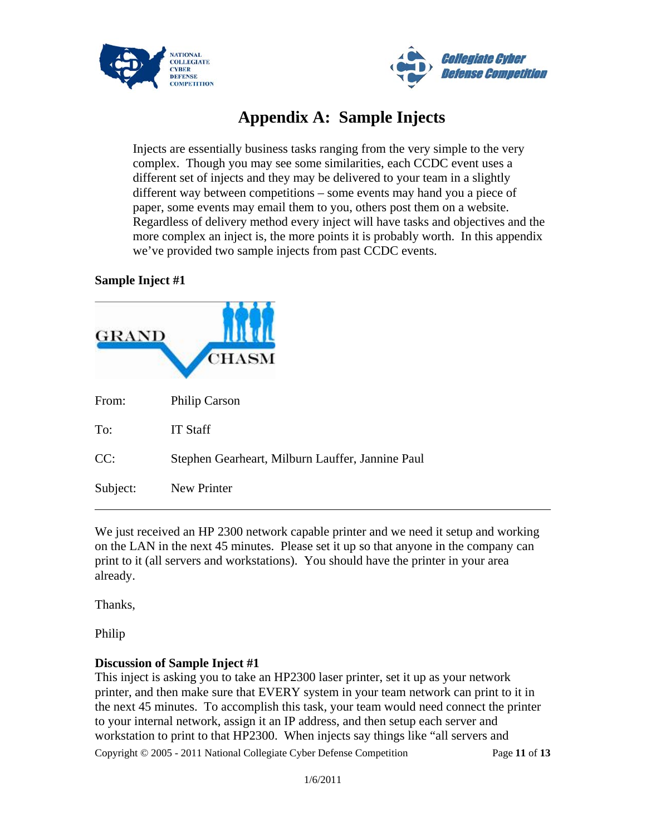



## **Appendix A: Sample Injects**

Injects are essentially business tasks ranging from the very simple to the very complex. Though you may see some similarities, each CCDC event uses a different set of injects and they may be delivered to your team in a slightly different way between competitions – some events may hand you a piece of paper, some events may email them to you, others post them on a website. Regardless of delivery method every inject will have tasks and objectives and the more complex an inject is, the more points it is probably worth. In this appendix we've provided two sample injects from past CCDC events.

#### **Sample Inject #1**

| <b>GRAND</b> | <b>HASM</b>                                      |
|--------------|--------------------------------------------------|
| From:        | <b>Philip Carson</b>                             |
| To:          | <b>IT Staff</b>                                  |
| CC:          | Stephen Gearheart, Milburn Lauffer, Jannine Paul |
| Subject:     | <b>New Printer</b>                               |

We just received an HP 2300 network capable printer and we need it setup and working on the LAN in the next 45 minutes. Please set it up so that anyone in the company can print to it (all servers and workstations). You should have the printer in your area already.

Thanks,

Philip

#### **Discussion of Sample Inject #1**

Copyright © 2005 - 2011 National Collegiate Cyber Defense Competition Page **11** of **13** This inject is asking you to take an HP2300 laser printer, set it up as your network printer, and then make sure that EVERY system in your team network can print to it in the next 45 minutes. To accomplish this task, your team would need connect the printer to your internal network, assign it an IP address, and then setup each server and workstation to print to that HP2300. When injects say things like "all servers and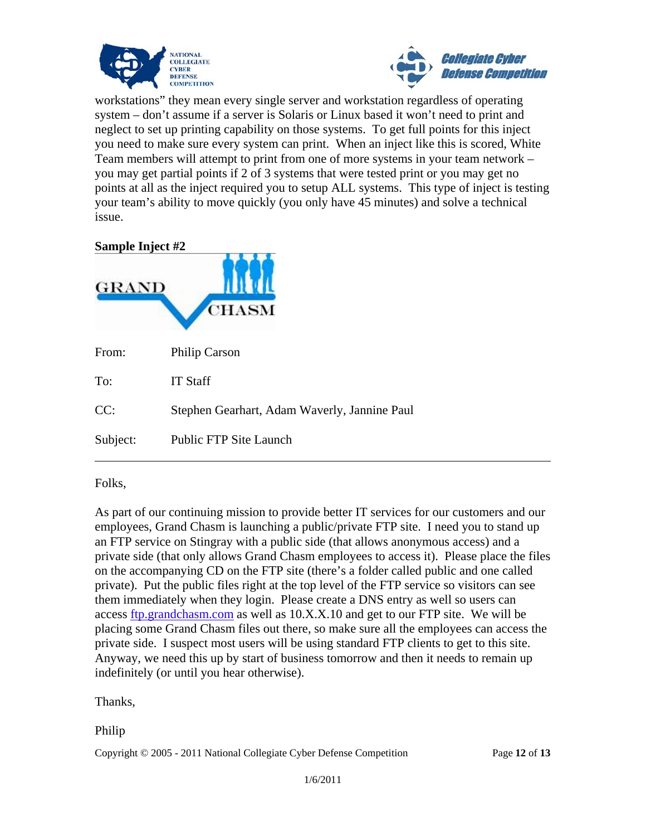



workstations" they mean every single server and workstation regardless of operating system – don't assume if a server is Solaris or Linux based it won't need to print and neglect to set up printing capability on those systems. To get full points for this inject you need to make sure every system can print. When an inject like this is scored, White Team members will attempt to print from one of more systems in your team network – you may get partial points if 2 of 3 systems that were tested print or you may get no points at all as the inject required you to setup ALL systems. This type of inject is testing your team's ability to move quickly (you only have 45 minutes) and solve a technical issue.

#### **Sample Inject #2**

| <b>GRAND</b> | <b>CHASM</b>                                 |
|--------------|----------------------------------------------|
| From:        | Philip Carson                                |
| To:          | <b>IT Staff</b>                              |
| CC:          | Stephen Gearhart, Adam Waverly, Jannine Paul |
| Subject:     | <b>Public FTP Site Launch</b>                |

#### Folks,

As part of our continuing mission to provide better IT services for our customers and our employees, Grand Chasm is launching a public/private FTP site. I need you to stand up an FTP service on Stingray with a public side (that allows anonymous access) and a private side (that only allows Grand Chasm employees to access it). Please place the files on the accompanying CD on the FTP site (there's a folder called public and one called private). Put the public files right at the top level of the FTP service so visitors can see them immediately when they login. Please create a DNS entry as well so users can access ftp.grandchasm.com as well as 10.X.X.10 and get to our FTP site. We will be placing some Grand Chasm files out there, so make sure all the employees can access the private side. I suspect most users will be using standard FTP clients to get to this site. Anyway, we need this up by start of business tomorrow and then it needs to remain up indefinitely (or until you hear otherwise).

Thanks,

#### Philip

Copyright © 2005 - 2011 National Collegiate Cyber Defense Competition Page **12** of **13**